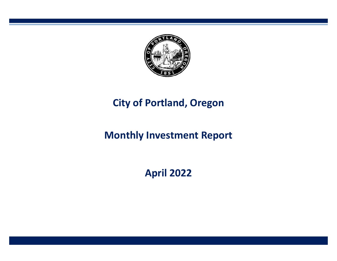

# **City of Portland, Oregon**

# **Monthly Investment Report**

**April 2022**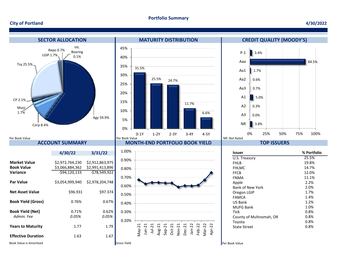#### **Portfolio Summary**

#### **City of Portland**

#### **4/30/2022**



**Years to Maturity** 1.77 1.79

1.77

*0.05%* 

0.71% 0.62%

*0.05%* 

**Effective Duration** 1.63 1.67







| Issuer                  | % Portfolio |
|-------------------------|-------------|
| U.S. Treasury           | 25.5%       |
| FHI B                   | 19.8%       |
| <b>FHLMC</b>            | 14.7%       |
| <b>FFCB</b>             | 12.0%       |
| <b>FNMA</b>             | 11.1%       |
| Apple                   | 2.2%        |
| <b>Bank of New York</b> | 2.0%        |
| Oregon LGIP             | 1.7%        |
| FAMCA                   | 1.4%        |
| US Bank                 | 1.2%        |
| MUFG Bank               | 1.0%        |
| TVA                     | 0.8%        |
| County of Multnomah, OR | 0.8%        |
| Toyota                  | 0.8%        |
| <b>State Street</b>     | 0.8%        |

Book Value is Amortized **Exercise Constant Constant Constant Constant Constant Constant Constant Constant Constant Constant Constant Constant Constant Per Book Value**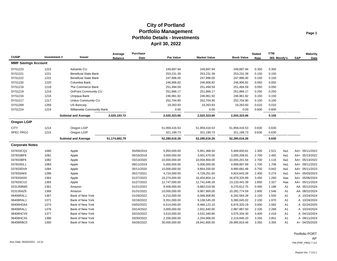| <b>CUSIP</b>               | Investment# | <b>Issuer</b>                | Average<br><b>Balance</b> | <b>Purchase</b><br>Date | Par Value     | <b>Market Value</b> | <b>Book Value</b> | <b>Stated</b><br>Rate | <b>YTM</b><br>365 Moody's | S&P            | <b>Maturity</b><br>Date |
|----------------------------|-------------|------------------------------|---------------------------|-------------------------|---------------|---------------------|-------------------|-----------------------|---------------------------|----------------|-------------------------|
| <b>MMF Savings Account</b> |             |                              |                           |                         |               |                     |                   |                       |                           |                |                         |
| SYS1223                    | 1223        | <b>Advantis CU</b>           |                           |                         | 249,897.94    | 249,897.94          | 249,897.94        | 0.350                 | 0.350                     |                |                         |
| SYS1221                    | 1221        | <b>Beneficial State Bank</b> |                           |                         | 253,231.39    | 253,231.39          | 253,231.39        | 0.150                 | 0.150                     |                |                         |
| SYS1222                    | 1222        | <b>Beneficial State Bank</b> |                           |                         | 247,996.00    | 247,996.00          | 247,996.00        | 0.150                 | 0.150                     |                |                         |
| SYS1220                    | 1220        | Columbia Bank                |                           |                         | 246,906.82    | 246,906.82          | 246,906.82        | 0.050                 | 0.050                     |                |                         |
| SYS1218                    | 1218        | The Commerce Bank            |                           |                         | 251,494.59    | 251,494.59          | 251,494.59        | 0.050                 | 0.050                     |                |                         |
| SYS1219                    | 1219        | OnPoint Community CU         |                           |                         | 251,866.17    | 251,866.17          | 251,866.17        | 0.250                 | 0.250                     |                |                         |
| SYS1216                    | 1216        | Umpqua Bank                  |                           |                         | 246,961.92    | 246,961.92          | 246,961.92        | 0.150                 | 0.150                     |                |                         |
| SYS1217                    | 1217        | Unitus Community CU          |                           |                         | 252,704.90    | 252,704.90          | 252,704.90        | 0.100                 | 0.100                     |                |                         |
| SYS1269                    | 1269        | US Bancorp                   |                           |                         | 19,263.93     | 19,263.93           | 19,263.93         | 0.010                 | 0.010                     |                |                         |
| SYS1224                    | 1224        | Willamette Community Bank    |                           |                         | 0.00          | 0.00                | 0.00              | 0.600                 | 0.600                     |                |                         |
|                            |             | <b>Subtotal and Average</b>  | 2,020,193.72              |                         | 2,020,323.66  | 2,020,323.66        | 2,020,323.66      |                       | 0.155                     |                |                         |
| <b>Oregon LGIP</b>         |             |                              |                           |                         |               |                     |                   |                       |                           |                |                         |
| <b>CITY</b>                | 1214        | Oregon LGIP                  |                           |                         | 51,959,416.53 | 51,959,416.53       | 51,959,416.53     | 0.630                 | 0.630                     |                |                         |
| SPEC PROJ                  | 1215        | Oregon LGIP                  |                           |                         | 321,199.73    | 321,199.73          | 321,199.73        | 0.630                 | 0.630                     |                |                         |
|                            |             | <b>Subtotal and Average</b>  | 51,174,682.79             |                         | 52,280,616.26 | 52.280.616.26       | 52,280,616.26     |                       | 0.630                     |                |                         |
| <b>Corporate Notes</b>     |             |                              |                           |                         |               |                     |                   |                       |                           |                |                         |
| 037833CQ1                  | 1080        | Apple                        |                           | 05/09/2019              | 5,950,000.00  | 5,951,368.50        | 5,949,650.81      | 2.300                 | 2.521<br>Aa1              |                | AA+ 05/11/2022          |
| 037833BF6                  | 1081        | Apple                        |                           | 05/16/2019              | 3,000,000.00  | 3,001,470.00        | 3,000,208.91      | 2.700                 | 2.482<br>Aa1              |                | AA+ 05/13/2022          |
| 037833BF6                  | 1082        | Apple                        |                           | 03/13/2020              | 10,000,000.00 | 10,004,900.00       | 10,005,201.54     | 2.700                 | 1.116<br>Aa1              |                | AA+ 05/13/2022          |
| 037833DL1                  | 1083        | Apple                        |                           | 09/11/2019              | 5,000,000.00  | 5,006,000.00        | 4,999,897.69      | 1.700                 | 1.706<br>Aa1              |                | AA+ 09/11/2022          |
| 037833DV9                  | 1084        | Apple                        |                           | 05/11/2020              | 10,000,000.00 | 9,854,200.00        | 9,990,681.48      | 0.750                 | 0.842<br>Aa1              |                | AA+ 05/11/2023          |
| 037833AK6                  | 1286        | Apple                        |                           | 05/17/2021              | 4,724,000.00  | 4,728,251.60        | 4,824,643.28      | 2.400                 | 0.274<br>Aa1              |                | AA+ 05/03/2023          |
| 037833AS9                  | 1364        | Apple                        |                           | 01/27/2022              | 16,274,000.00 | 16,454,804.14       | 16,979,325.89     | 3.450                 | 1.260<br>Aaa              |                | AA+ 05/06/2024          |
| 037833CU2                  | 1365        | Apple                        |                           | 01/27/2022              | 12,747,000.00 | 12,741,646.26       | 13,133,441.39     | 2.850                 | 1.327<br>Aaa              |                | AA+ 05/11/2024          |
| 023135BW5                  | 1361        | Amazon                       |                           | 01/21/2022              | 9,409,000.00  | 8,982,019.58        | 9,270,612.75      | 0.450                 | 1.186<br>A <sub>1</sub>   |                | AA 05/12/2024           |
| 023135AZ9                  | 1368        | Amazon                       |                           | 01/31/2022              | 10,000,000.00 | 9,967,900.00        | 10,282,774.59     | 2.800                 | 1.546                     | A1             | AA 08/22/2024           |
| 06406RAL1                  | 1367        | Bank of New York             |                           | 01/28/2022              | 6,210,000.00  | 6,068,908.80        | 6,292,564.28      | 2.100                 | 1.550                     | A1             | A 10/24/2024            |
| 06406RAL1                  | 1371        | Bank of New York             |                           | 02/18/2022              | 9,351,000.00  | 9,138,545.28        | 9,380,045.02      | 2.100                 | 1.970                     | A1             | A 10/24/2024            |
| 06406HDA4                  | 1373        | Bank of New York             |                           | 03/02/2022              | 6,514,000.00  | 6,466,122.10        | 6,676,320.19      | 3.000                 | 2.082                     | A <sub>1</sub> | A 02/24/2025            |
| 06406RAL1                  | 1376        | Bank of New York             |                           | 03/14/2022              | 3,000,000.00  | 2,931,840.00        | 2,987,887.50      | 2.100                 | 2.268                     | A <sub>1</sub> | A 10/24/2024            |
| 06406HCV9                  | 1377        | Bank of New York             |                           | 03/15/2022              | 3,510,000.00  | 3,531,340.80        | 3,575,334.30      | 3.400                 | 2.418                     | A1             | A 04/15/2024            |
| 06406HCX5                  | 1386        | Bank of New York             |                           | 03/30/2022              | 2,200,000.00  | 2,204,906.00        | 2,219,846.20      | 3.250                 | 2.851                     | A1             | A 09/11/2024            |
| 06406RBC0                  | 1393        | Bank of New York             |                           | 04/26/2022              | 30,000,000.00 | 29,941,800.00       | 29,995,819.46     | 3.350                 | 3.355                     | A1             | A+ 04/25/2025           |

Portfolio PORT AP Run Date: 05/05/2022 - 14:21 PM (PRF\_PM2) 7.3.0

Report Ver. 7.3.6.1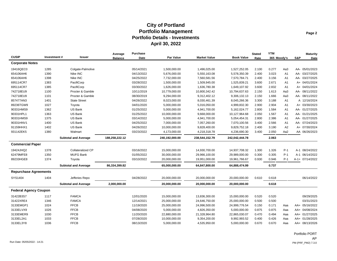| <b>CUSIP</b>                 | Investment# | <b>Issuer</b>               | Average<br><b>Balance</b> | Purchase<br>Date | <b>Par Value</b> | <b>Market Value</b> | <b>Book Value</b> | <b>Stated</b><br>Rate | <b>YTM</b><br>365 Moody's |                | S&P | <b>Maturity</b><br>Date |
|------------------------------|-------------|-----------------------------|---------------------------|------------------|------------------|---------------------|-------------------|-----------------------|---------------------------|----------------|-----|-------------------------|
| <b>Corporate Notes</b>       |             |                             |                           |                  |                  |                     |                   |                       |                           |                |     |                         |
| 19416QEC0                    | 1285        | Colgate-Palmolive           |                           | 05/14/2021       | 1,500,000.00     | 1,496,025.00        | 1,527,252.05      | 2.100                 | 0.277                     | Aa3            |     | AA- 05/01/2023          |
| 654106AH6                    | 1390        | Nike INC                    |                           | 04/13/2022       | 5,676,000.00     | 5,550,163.08        | 5,578,350.39      | 2.400                 | 3.023                     | A <sub>1</sub> |     | AA- 03/27/2025          |
| 654106AH6                    | 1398        | Nike INC                    |                           | 04/25/2022       | 7,732,000.00     | 7,560,581.56        | 7,570,784.71      | 2.400                 | 3.156                     | A1             |     | AA- 03/27/2025          |
| 695114CR7                    | 1383        | PacifiCorp                  |                           | 03/28/2022       | 1,500,000.00     | 1,509,945.00        | 1,525,839.21      | 3.600                 | 2.671                     | A <sub>1</sub> |     | A+ 04/01/2024           |
| 695114CR7                    | 1385        | PacifiCorp                  |                           | 03/30/2022       | 1,626,000.00     | 1,636,780.38        | 1,649,107.92      | 3.600                 | 2.832                     | A <sub>1</sub> |     | A+ 04/01/2024           |
| 742718EU9                    | 1100        | Procter & Gamble            |                           | 10/11/2019       | 10,779,000.00    | 10,800,342.42       | 10,794,637.63     | 2.150                 | 1.613                     | Aa3            |     | AA- 08/11/2022          |
| 742718EU9                    | 1101        | Procter & Gamble            |                           | 08/30/2019       | 9,294,000.00     | 9,312,402.12        | 9,306,132.13      | 2.150                 | 1.666                     | Aa3            |     | AA- 08/11/2022          |
| 857477AN3                    | 1401        | <b>State Street</b>         |                           | 04/26/2022       | 8,023,000.00     | 8,030,461.39        | 8,045,266.36      | 3.300                 | 3.188                     | A <sub>1</sub> |     | A 12/16/2024            |
| 89236TGW9                    | 1027        | Toyota                      |                           | 04/01/2020       | 5,000,000.00     | 5,016,050.00        | 4,999,832.30      | 2.900                 | 2.904                     | A <sub>1</sub> |     | A+ 03/30/2023           |
| 90331HMS9                    | 1362        | US Bank                     |                           | 01/25/2022       | 5,000,000.00     | 4,941,700.00        | 5,162,024.77      | 2.800                 | 1.584                     | A <sub>1</sub> |     | AA- 01/27/2025          |
| 90331HPL1                    | 1363        | US Bank                     |                           | 01/25/2022       | 10,000,000.00    | 9,668,000.00        | 10,127,964.68     | 2.050                 | 1.567                     | A1             |     | AA- 01/21/2025          |
| 90331HMS9                    | 1375        | US Bank                     |                           | 03/14/2022       | 5,000,000.00     | 4,941,700.00        | 5,054,454.31      | 2.800                 | 2.386                     | A <sub>1</sub> |     | AA- 01/27/2025          |
| 90331HNV1                    | 1400        | US Bank                     |                           | 04/25/2022       | 7,000,000.00     | 7,057,260.00        | 7,070,100.56      | 3.400                 | 2.566                     | A1             |     | AA- 07/24/2023          |
| 91159HHX1                    | 1402        | US Bank                     |                           | 04/26/2022       | 10,000,000.00    | 9,828,400.00        | 9,829,752.18      | 2.400                 | 3.190                     | A <sub>2</sub> |     | A+ 07/30/2024           |
| 931142EK5                    | 1380        | Walmart                     |                           | 03/23/2022       | 4,173,000.00     | 4,218,318.78        | 4,236,690.30      | 3.400                 | 2.050                     | Aa2            |     | AA 06/26/2023           |
|                              |             | <b>Subtotal and Average</b> | 188,258,222.12            |                  | 240,192,000.00   | 238,544,152.79      | 242,042,444.78    |                       | 2.063                     |                |     |                         |
| <b>Commercial Paper</b>      |             |                             |                           |                  |                  |                     |                   |                       |                           |                |     |                         |
| 19424JHQ2                    | 1378        | <b>Collateralized CP</b>    |                           | 03/16/2022       | 15,000,000.00    | 14,930,700.00       | 14,937,708.32     | 1.300                 | 1.326                     | $P-1$          |     | A-1 08/24/2022          |
| 62479MFE8                    | 1350        | <b>MUFG Bank</b>            |                           | 01/05/2022       | 30,000,000.00    | 29,966,100.00       | 29,989,000.00     | 0.300                 | 0.305                     | $P-1$          |     | A-1 06/14/2022          |
| 89233HGE8                    | 1374        | Toyota                      |                           | 03/10/2022       | 20,000,000.00    | 19,951,000.00       | 19,961,766.67     | 0.930                 | 0.946                     | $P-1$          |     | A-1+ 07/14/2022         |
|                              |             | <b>Subtotal and Average</b> | 86,334,399.82             |                  | 65.000.000.00    | 64,847,800.00       | 64,888,474.99     |                       | 0.737                     |                |     |                         |
| <b>Repurchase Agreements</b> |             |                             |                           |                  |                  |                     |                   |                       |                           |                |     |                         |
| SYS1404                      | 1404        | Jefferies Repo              |                           | 04/28/2022       | 20,000,000.00    | 20,000,000.00       | 20,000,000.00     | 0.610                 | 0.618                     |                |     | 06/14/2022              |
|                              |             | <b>Subtotal and Average</b> | 2,000,000.00              |                  | 20.000.000.00    | 20,000,000.00       | 20,000,000.00     |                       | 0.618                     |                |     |                         |
| <b>Federal Agency Coupon</b> |             |                             |                           |                  |                  |                     |                   |                       |                           |                |     |                         |
| 31422B3S7                    | 1117        | <b>FAMCA</b>                |                           | 12/01/2020       | 15,000,000.00    | 13,836,300.00       | 15,000,000.00     | 0.520                 | 0.520                     |                |     | 09/29/2025              |
| 31422XRE4                    | 1346        | <b>FAMCA</b>                |                           | 12/14/2021       | 25,000,000.00    | 24,646,750.00       | 25,000,000.00     | 0.500                 | 0.500                     |                |     | 03/31/2023              |
| 3133EMGP1                    | 1024        | <b>FFCB</b>                 |                           | 11/19/2020       | 25,000,000.00    | 24,996,500.00       | 24,999,776.54     | 0.150                 | 0.171                     | Aaa            |     | AA+ 05/16/2022          |
| 3133ELVX9                    | 1026        | <b>FFCB</b>                 |                           | 04/08/2020       | 5,000,000.00     | 4,826,350.00        | 5,000,000.00      | 0.875                 | 0.875                     | Aaa            |     | AA+ 04/08/2024          |
| 3133EMER9                    | 1030        | <b>FFCB</b>                 |                           | 11/20/2020       | 22,880,000.00    | 21,328,964.80       | 22,865,030.07     | 0.470                 | 0.494                     | Aaa            |     | AA+ 01/27/2025          |
| 3133EL2A1                    | 1033        | <b>FFCB</b>                 |                           | 07/28/2020       | 10,000,000.00    | 9,354,200.00        | 9,992,993.52      | 0.400                 | 0.426                     | Aaa            |     | AA+ 01/28/2025          |
| 3133EL3Y8                    | 1036        | <b>FFCB</b>                 |                           | 08/13/2020       | 5,000,000.00     | 4,535,950.00        | 5,000,000.00      | 0.670                 | 0.670                     | Aaa            |     | AA+ 08/13/2026          |

Portfolio PORT AP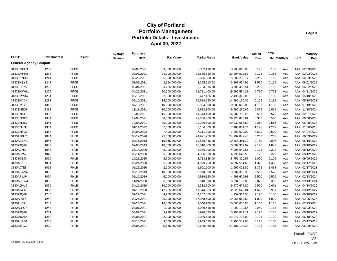|                              |             |               | Average        | <b>Purchase</b> |               |                     |                   | <b>Stated</b> | <b>YTM</b>  |     |     | <b>Maturity</b> |
|------------------------------|-------------|---------------|----------------|-----------------|---------------|---------------------|-------------------|---------------|-------------|-----|-----|-----------------|
| <b>CUSIP</b>                 | Investment# | <b>Issuer</b> | <b>Balance</b> | Date            | Par Value     | <b>Market Value</b> | <b>Book Value</b> | Rate          | 365 Moody's |     | S&P | Date            |
| <b>Federal Agency Coupon</b> |             |               |                |                 |               |                     |                   |               |             |     |     |                 |
| 3133EMPH9                    | 1237        | <b>FFCB</b>   |                | 02/03/2021      | 9,000,000.00  | 8,882,190.00        | 8,998,096.00      | 0.125         | 0.153       | Aaa |     | AA+ 02/03/2023  |
| 3133EMPH9                    | 1238        | <b>FFCB</b>   |                | 02/03/2021      | 24,000,000.00 | 23,685,840.00       | 23,994,922.67     | 0.125         | 0.153       | Aaa |     | AA+ 02/03/2023  |
| 3133EKNR3                    | 1241        | <b>FFCB</b>   |                | 02/23/2021      | 5,000,000.00  | 5,006,550.00        | 5,009,252.17      | 2.200         | 0.116       | Aaa |     | AA+ 06/03/2022  |
| 3133EKZY5                    | 1247        | <b>FFCB</b>   |                | 03/01/2021      | 3,294,000.00  | 3,295,910.52        | 3,297,934.99      | 1.550         | 0.115       | Aaa |     | AA+ 06/01/2022  |
| 3133ELE75                    | 1250        | <b>FFCB</b>   |                | 03/01/2021      | 3,785,000.00  | 3,784,015.90        | 3,785,439.54      | 0.250         | 0.115       | Aaa |     | AA+ 06/02/2022  |
| 3133EMWH1                    | 1275        | <b>FFCB</b>   |                | 04/22/2021      | 20,000,000.00 | 18,781,400.00       | 19,992,564.28     | 0.710         | 0.723       | Aaa |     | AA+ 04/21/2025  |
| 3133EMYX4                    | 1281        | <b>FFCB</b>   |                | 05/10/2021      | 2,500,000.00  | 2,447,425.00        | 2,498,360.00      | 0.125         | 0.189       | Aaa |     | AA+ 05/10/2023  |
| 3133EMYX4                    | 1283        | <b>FFCB</b>   |                | 05/10/2021      | 15,000,000.00 | 14,684,550.00       | 14,990,160.00     | 0.125         | 0.189       | Aaa |     | AA+ 05/10/2023  |
| 3133EMT28                    | 1312        | <b>FFCB</b>   |                | 07/19/2021      | 10,000,000.00 | 8,964,600.00        | 10,000,000.00     | 1.190         | 1.190       | Aaa |     | AA+ 07/19/2028  |
| 3133ENEJ5                    | 1333        | <b>FFCB</b>   |                | 11/18/2021      | 10,000,000.00 | 9,533,100.00        | 9,990,235.65      | 0.875         | 0.914       | Aaa |     | AA+ 11/18/2024  |
| 3133ENGF1                    | 1338        | <b>FFCB</b>   |                | 12/03/2021      | 15,000,000.00 | 14,543,400.00       | 14,982,733.29     | 0.500         | 0.573       | Aaa |     | AA+ 12/01/2023  |
| 3133ENDK3                    | 1344        | <b>FFCB</b>   |                | 12/08/2021      | 30,000,000.00 | 29,386,800.00       | 29,928,870.61     | 0.350         | 0.566       | Aaa |     | AA+ 06/08/2023  |
| 3133ENDK3                    | 1345        | <b>FFCB</b>   |                | 12/08/2021      | 30,000,000.00 | 29,386,800.00       | 29,932,068.89     | 0.350         | 0.556       | Aaa |     | AA+ 06/08/2023  |
| 3133ENKS8                    | 1354        | <b>FFCB</b>   |                | 01/11/2022      | 7,500,000.00  | 7,164,600.00        | 7,484,851.74      | 1.125         | 1.202       | Aaa |     | AA+ 01/06/2025  |
| 3133ENTQ3                    | 1387        | <b>FFCB</b>   |                | 04/04/2022      | 7,400,000.00  | 7,311,200.00        | 7,400,000.00      | 3.500         | 3.500       | Aaa |     | AA+ 04/04/2029  |
| 3130AJPU7                    | 1044        | <b>FHLB</b>   |                | 06/12/2020      | 25,000,000.00 | 24,991,250.00       | 24,999,842.48     | 0.250         | 0.257       | Aaa |     | AA+ 06/03/2022  |
| 3130AEBM1                    | 1045        | <b>FHLB</b>   |                | 07/16/2018      | 10,865,000.00 | 10,889,446.25       | 10,864,351.12     | 2.750         | 2.807       | Aaa |     | AA+ 06/10/2022  |
| 313379Q69                    | 1047        | <b>FHLB</b>   |                | 07/03/2019      | 10,000,000.00 | 10,016,600.00       | 10,002,967.62     | 2.125         | 1.842       | Aaa |     | AA+ 06/10/2022  |
| 3130AJY52                    | 1048        | <b>FHLB</b>   |                | 08/14/2020      | 5,000,000.00  | 4,986,900.00        | 4,998,642.55      | 0.125         | 0.222       | Aaa |     | AA+ 08/12/2022  |
| 3130AJY52                    | 1049        | <b>FHLB</b>   |                | 08/14/2020      | 5,000,000.00  | 4,986,900.00        | 4,998,642.55      | 0.125         | 0.222       | Aaa |     | AA+ 08/12/2022  |
| 313380GJ0                    | 1050        | <b>FHLB</b>   |                | 10/21/2020      | 8,700,000.00  | 8,723,838.00        | 8,756,320.57      | 2.000         | 0.175       | Aaa |     | AA+ 09/09/2022  |
| 3130AJ7E3                    | 1051        | <b>FHLB</b>   |                | 02/21/2020      | 5,000,000.00  | 4,979,750.00        | 4,997,554.65      | 1.375         | 1.438       | Aaa |     | AA+ 02/17/2023  |
| 3130AJ7E3                    | 1052        | <b>FHLB</b>   |                | 02/21/2020      | 2,000,000.00  | 1,991,900.00        | 1,999,021.86      | 1.375         | 1.438       | Aaa |     | AA+ 02/17/2023  |
| 3130AFW94                    | 1053        | <b>FHLB</b>   |                | 02/15/2019      | 10,000,000.00 | 9,978,300.00        | 9,987,359.96      | 2.500         | 2.576       | Aaa |     | AA+ 02/13/2024  |
| 3130AFW94                    | 1054        | <b>FHLB</b>   |                | 02/15/2019      | 5,000,000.00  | 4,989,150.00        | 4,993,679.98      | 2.500         | 2.576       | Aaa |     | AA+ 02/13/2024  |
| 3130A2UW4                    | 1055        | <b>FHLB</b>   |                | 11/24/2020      | 6,600,000.00  | 6,610,098.00        | 6,994,199.05      | 2.875         | 0.333       | Aaa |     | AA+ 09/13/2024  |
| 3130AJHU6                    | 1056        | <b>FHLB</b>   |                | 04/16/2020      | 10,000,000.00 | 9,332,500.00        | 9,970,675.86      | 0.500         | 0.601       | Aaa |     | AA+ 04/14/2025  |
| 3130AJ4B2                    | 1057        | <b>FHLB</b>   |                | 04/16/2020      | 12,265,000.00 | 11,544,553.90       | 12,629,643.04     | 1.625         | 0.991       | Aaa |     | AA+ 03/12/2027  |
| 313379Q69                    | 1240        | <b>FHLB</b>   |                | 02/22/2021      | 4,250,000.00  | 4,257,055.00        | 4,259,314.58      | 2.125         | 0.100       | Aaa |     | AA+ 06/10/2022  |
| 3130AL6F6                    | 1242        | <b>FHLB</b>   |                | 02/25/2021      | 20,000,000.00 | 17,968,600.00       | 19,955,959.52     | 1.000         | 1.039       | Aaa |     | AA+ 02/25/2028  |
| 3130ALE34                    | 1243        | <b>FHLB</b>   |                | 02/25/2021      | 10,000,000.00 | 9,040,100.00        | 10,000,000.00     | 1.100         | 1.115       | Aaa |     | AA+ 02/25/2028  |
| 3130AJPU7                    | 1248        | <b>FHLB</b>   |                | 03/01/2021      | 1,090,000.00  | 1,089,618.50        | 1,090,130.66      | 0.250         | 0.115       | Aaa |     | AA+ 06/03/2022  |
| 313379Q69                    | 1251        | <b>FHLB</b>   |                | 03/01/2021      | 3,990,000.00  | 3,996,623.40        | 3,998,679.11      | 2.125         | 0.115       | Aaa |     | AA+ 06/10/2022  |
| 313379Q69                    | 1252        | <b>FHLB</b>   |                | 03/05/2021      | 22,000,000.00 | 22,036,520.00       | 22,047,733.09     | 2.125         | 0.120       | Aaa |     | AA+ 06/10/2022  |
| 3130ALRG1                    | 1255        | <b>FHLB</b>   |                | 03/18/2021      | 3,000,000.00  | 2,949,420.00        | 2,998,549.65      | 0.125         | 0.180       | Aaa |     | AA+ 03/17/2023  |
| 3133834G3                    | 1279        | <b>FHLB</b>   |                | 05/05/2021      | 20,665,000.00 | 20,630,489.45       | 21,107,103.28     | 2.125         | 0.185       | Aaa |     | AA+ 06/09/2023  |

Portfolio PORT AP Run Date: 05/05/2022 - 14:21 PM (PRF\_PM2) 7.3.0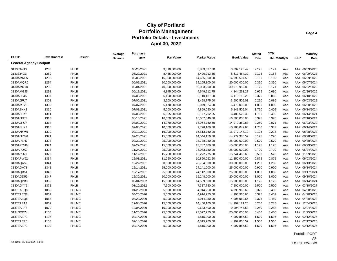|                              |             |               | Average        | <b>Purchase</b> |               |                     |                   | <b>Stated</b> | <b>YTM</b>  |     |     | <b>Maturity</b> |
|------------------------------|-------------|---------------|----------------|-----------------|---------------|---------------------|-------------------|---------------|-------------|-----|-----|-----------------|
| <b>CUSIP</b>                 | Investment# | <b>Issuer</b> | <b>Balance</b> | Date            | Par Value     | <b>Market Value</b> | <b>Book Value</b> | Rate          | 365 Moody's |     | S&P | Date            |
| <b>Federal Agency Coupon</b> |             |               |                |                 |               |                     |                   |               |             |     |     |                 |
| 3133834G3                    | 1288        | <b>FHLB</b>   |                | 05/20/2021      | 3,810,000.00  | 3,803,637.30        | 3,892,120.49      | 2.125         | 0.171       | Aaa |     | AA+ 06/09/2023  |
| 3133834G3                    | 1289        | <b>FHLB</b>   |                | 05/20/2021      | 8,435,000.00  | 8,420,913.55        | 8,617,484.32      | 2.125         | 0.164       | Aaa |     | AA+ 06/09/2023  |
| 3130AMNF5                    | 1292        | <b>FHLB</b>   |                | 06/09/2021      | 15,000,000.00 | 14,685,000.00       | 14,998,507.50     | 0.150         | 0.159       | Aaa |     | AA+ 06/09/2023  |
| 3130AMQR6                    | 1294        | <b>FHLB</b>   |                | 06/07/2021      | 20,000,000.00 | 19,105,800.00       | 20,000,000.00     | 0.350         | 0.350       | Aaa |     | AA+ 06/07/2024  |
| 3130AMRY0                    | 1295        | <b>FHLB</b>   |                | 06/04/2021      | 40,000,000.00 | 39,063,200.00       | 39,979,959.89     | 0.125         | 0.171       | Aaa |     | AA+ 06/02/2023  |
| 3130AMGJ5                    | 1298        | <b>FHLB</b>   |                | 06/11/2021      | 4,845,000.00  | 4,549,212.75        | 4,844,263.27      | 0.625         | 0.630       | Aaa |     | AA+ 02/26/2025  |
| 3130A5P45                    | 1307        | <b>FHLB</b>   |                | 07/06/2021      | 6,100,000.00  | 6,110,187.00        | 6,115,115.23      | 2.375         | 0.086       | Aaa |     | AA+ 06/10/2022  |
| 3130AJPU7                    | 1308        | <b>FHLB</b>   |                | 07/06/2021      | 3,500,000.00  | 3,498,775.00        | 3,500,509.01      | 0.250         | 0.086       | Aaa |     | AA+ 06/03/2022  |
| 3130AMT28                    | 1309        | <b>FHLB</b>   |                | 07/07/2021      | 5,470,000.00  | 5,079,824.90        | 5,470,000.00      | 1.000         | 1.000       | Aaa |     | AA+ 06/30/2026  |
| 3130A8HK2                    | 1310        | <b>FHLB</b>   |                | 07/08/2021      | 5,000,000.00  | 4,899,050.00        | 5,141,509.04      | 1.750         | 0.405       | Aaa |     | AA+ 06/14/2024  |
| 3130A8HK2                    | 1311        | <b>FHLB</b>   |                | 07/08/2021      | 6,305,000.00  | 6,177,702.05        | 6,483,520.35      | 1.750         | 0.405       | Aaa |     | AA+ 06/14/2024  |
| 3130ANDT4                    | 1313        | <b>FHLB</b>   |                | 08/16/2021      | 16,600,000.00 | 16,007,546.00       | 16,600,000.00     | 0.375         | 0.375       | Aaa |     | AA+ 02/16/2024  |
| 3130AJPU7                    | 1314        | <b>FHLB</b>   |                | 08/02/2021      | 14,970,000.00 | 14,964,760.50       | 14,972,380.88     | 0.250         | 0.071       | Aaa |     | AA+ 06/03/2022  |
| 3130A8HK2                    | 1318        | <b>FHLB</b>   |                | 09/03/2021      | 10,000,000.00 | 9,798,100.00        | 10,288,049.65     | 1.750         | 0.382       | Aaa |     | AA+ 06/14/2024  |
| 3130ANYM6                    | 1320        | <b>FHLB</b>   |                | 09/10/2021      | 16,000,000.00 | 15,513,760.00       | 15,977,147.12     | 0.125         | 0.233       | Aaa |     | AA+ 08/28/2023  |
| 3130ANYM6                    | 1321        | <b>FHLB</b>   |                | 09/23/2021      | 15,000,000.00 | 14,544,150.00       | 14,979,986.59     | 0.125         | 0.226       | Aaa |     | AA+ 08/28/2023  |
| 3130APBH7                    | 1323        | <b>FHLB</b>   |                | 09/30/2021      | 25,000,000.00 | 23,738,250.00       | 25,000,000.00     | 0.570         | 0.570       | Aaa |     | AA+ 09/30/2024  |
| 3130APCH6                    | 1324        | <b>FHLB</b>   |                | 09/29/2021      | 15,000,000.00 | 13,787,400.00       | 15,000,000.00     | 1.125         | 1.125       | Aaa |     | AA+ 09/29/2026  |
| 3130APUK9                    | 1328        | <b>FHLB</b>   |                | 11/24/2021      | 25,000,000.00 | 24,073,750.00       | 25,000,000.00     | 0.720         | 0.720       | Aaa |     | AA+ 05/24/2024  |
| 3130APU29                    | 1329        | <b>FHLB</b>   |                | 11/12/2021      | 15,750,000.00 | 15,272,775.00       | 15,744,462.68     | 0.500         | 0.523       | Aaa |     | AA+ 11/09/2023  |
| 3130APW92                    | 1334        | <b>FHLB</b>   |                | 12/03/2021      | 11,250,000.00 | 10,850,062.50       | 11,250,000.00     | 0.875         | 0.875       | Aaa |     | AA+ 06/03/2024  |
| 3130AQA52                    | 1341        | <b>FHLB</b>   |                | 12/22/2021      | 30,000,000.00 | 28,704,000.00       | 30,000,000.00     | 1.250         | 1.250       | Aaa |     | AA+ 06/13/2025  |
| 3130AQA78                    | 1342        | <b>FHLB</b>   |                | 12/14/2021      | 25,000,000.00 | 24,141,000.00       | 25,000,000.00     | 0.900         | 0.900       | Aaa |     | AA+ 06/14/2024  |
| 3130AQB51                    | 1343        | <b>FHLB</b>   |                | 12/17/2021      | 25,000,000.00 | 24,112,500.00       | 25,000,000.00     | 1.050         | 1.050       | Aaa |     | AA+ 09/17/2024  |
| 3130AQD59                    | 1347        | <b>FHLB</b>   |                | 12/30/2021      | 20,000,000.00 | 19,248,000.00       | 20,000,000.00     | 1.000         | 1.000       | Aaa |     | AA+ 09/30/2024  |
| 3130AQPB3                    | 1360        | <b>FHLB</b>   |                | 02/04/2022      | 15,000,000.00 | 14,589,900.00       | 15,000,000.00     | 1.125         | 1.125       | Aaa |     | AA+ 06/14/2024  |
| 3130AQYY3                    | 1372        | <b>FHLB</b>   |                | 03/10/2022      | 7,500,000.00  | 7,317,750.00        | 7,500,000.00      | 2.500         | 2.500       | Aaa |     | AA+ 03/10/2027  |
| 3137EAEQ8                    | 1066        | <b>FHLMC</b>  |                | 04/20/2020      | 5,000,000.00  | 4,914,250.00        | 4,995,960.65      | 0.375         | 0.459       | Aaa |     | AA+ 04/20/2023  |
| 3137EAEQ8                    | 1067        | ${\sf FHLMC}$ |                | 04/20/2020      | 5,000,000.00  | 4,914,250.00        | 4,995,960.65      | 0.375         | 0.459       | Aaa |     | AA+ 04/20/2023  |
| 3137EAEQ8                    | 1068        | <b>FHLMC</b>  |                | 04/20/2020      | 5,000,000.00  | 4,914,250.00        | 4,995,960.65      | 0.375         | 0.459       | Aaa |     | AA+ 04/20/2023  |
| 3137EAFA2                    | 1069        | <b>FHLMC</b>  |                | 12/04/2020      | 15,000,000.00 | 14,450,100.00       | 14,992,121.25     | 0.250         | 0.283       | Aaa |     | AA+ 12/04/2023  |
| 3137EAFA2                    | 1070        | <b>FHLMC</b>  |                | 12/04/2020      | 10,000,000.00 | 9,633,400.00        | 9,994,747.50      | 0.250         | 0.283       | Aaa |     | AA+ 12/04/2023  |
| 3134GXDZ4                    | 1105        | <b>FHLMC</b>  |                | 11/25/2020      | 25,000,000.00 | 23,527,750.00       | 25,000,000.00     | 0.450         | 0.450       | Aaa |     | AA+ 11/25/2024  |
| 3137EAEP0                    | 1107        | <b>FHLMC</b>  |                | 02/14/2020      | 5,000,000.00  | 4,815,200.00        | 4,997,856.59      | 1.500         | 1.516       | Aaa |     | AA+ 02/12/2025  |
| 3137EAEP0                    | 1108        | <b>FHLMC</b>  |                | 02/14/2020      | 5,000,000.00  | 4,815,200.00        | 4,997,856.59      | 1.500         | 1.516       | Aaa |     | AA+ 02/12/2025  |
| 3137EAEP0                    | 1109        | <b>FHLMC</b>  |                | 02/14/2020      | 5,000,000.00  | 4,815,200.00        | 4,997,856.59      | 1.500         | 1.516       | Aaa |     | AA+ 02/12/2025  |

Portfolio PORT AP Run Date: 05/05/2022 - 14:21 PM (PRF\_PM2) 7.3.0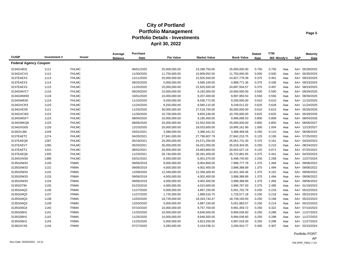|                              |             |               | Average        | <b>Purchase</b> |               |                     |                   | <b>Stated</b> | <b>YTM</b>  |     |     | <b>Maturity</b> |
|------------------------------|-------------|---------------|----------------|-----------------|---------------|---------------------|-------------------|---------------|-------------|-----|-----|-----------------|
| <b>CUSIP</b>                 | Investment# | <b>Issuer</b> | <b>Balance</b> | Date            | Par Value     | <b>Market Value</b> | <b>Book Value</b> | Rate          | 365 Moody's |     | S&P | Date            |
| <b>Federal Agency Coupon</b> |             |               |                |                 |               |                     |                   |               |             |     |     |                 |
| 3134GVB31                    | 1111        | <b>FHLMC</b>  |                | 06/01/2020      | 25,000,000.00 | 23,286,750.00       | 25,000,000.00     | 0.750         | 0.750       | Aaa |     | AA+ 05/28/2025  |
| 3134GXCV4                    | 1112        | <b>FHLMC</b>  |                | 11/30/2020      | 11,750,000.00 | 10,909,052.50       | 11,750,000.00     | 0.500         | 0.500       | Aaa |     | AA+ 05/30/2025  |
| 3137EAEX3                    | 1113        | <b>FHLMC</b>  |                | 12/11/2020      | 25,000,000.00 | 22,925,500.00       | 24,927,776.39     | 0.375         | 0.461       | Aaa |     | AA+ 09/23/2025  |
| 3137EAEX3                    | 1114        | <b>FHLMC</b>  |                | 09/25/2020      | 5,000,000.00  | 4,585,100.00        | 4,989,771.36      | 0.375         | 0.436       | Aaa |     | AA+ 09/23/2025  |
| 3137EAEX3                    | 1115        | <b>FHLMC</b>  |                | 11/25/2020      | 25,000,000.00 | 22,925,500.00       | 24,897,504.57     | 0.375         | 0.497       | Aaa |     | AA+ 09/23/2025  |
| 3134GWVC7                    | 1116        | <b>FHLMC</b>  |                | 09/29/2020      | 10,000,000.00 | 9,192,000.00        | 10,000,000.00     | 0.500         | 0.500       | Aaa |     | AA+ 09/29/2025  |
| 3134GWW93                    | 1118        | <b>FHLMC</b>  |                | 10/01/2020      | 10,000,000.00 | 9,207,400.00        | 9,997,950.53      | 0.550         | 0.556       | Aaa |     | AA+ 09/30/2025  |
| 3134GW6S0                    | 1119        | <b>FHLMC</b>  |                | 11/10/2020      | 9,200,000.00  | 8,536,772.00        | 9,200,000.00      | 0.610         | 0.610       | Aaa |     | AA+ 11/10/2025  |
| 3134GXCR3                    | 1120        | <b>FHLMC</b>  |                | 11/24/2020      | 9,250,000.00  | 8,580,115.00        | 9,249,011.02      | 0.625         | 0.628       | Aaa |     | AA+ 11/24/2025  |
| 3134GXES9                    | 1121        | <b>FHLMC</b>  |                | 11/25/2020      | 30,000,000.00 | 27,518,700.00       | 30,000,000.00     | 0.610         | 0.610       | Aaa |     | AA+ 05/26/2026  |
| 3134GXCW2                    | 1122        | <b>FHLMC</b>  |                | 11/30/2020      | 10,700,000.00 | 9,820,246.00        | 10,700,000.00     | 0.625         | 0.625       | Aaa |     | AA+ 05/28/2026  |
| 3134GWGF7                    | 1123        | <b>FHLMC</b>  |                | 08/04/2020      | 10,000,000.00 | 9,195,400.00        | 9,996,096.53      | 0.800         | 0.809       | Aaa |     | AA+ 08/04/2026  |
| 3134GWKQ8                    | 1125        | <b>FHLMC</b>  |                | 08/06/2020      | 25,000,000.00 | 22,552,500.00       | 25,000,000.00     | 0.850         | 0.850       | Aaa |     | AA+ 08/06/2027  |
| 3134GXGE8                    | 1126        | <b>FHLMC</b>  |                | 12/23/2020      | 20,000,000.00 | 18,033,600.00       | 19,995,161.90     | 1.000         | 1.004       | Aaa |     | AA+ 12/23/2027  |
| 3134GVJ66                    | 1249        | <b>FHLMC</b>  |                | 03/01/2021      | 3,388,000.00  | 3,386,441.52        | 3,388,469.58      | 0.250         | 0.115       | Aaa |     | AA+ 06/08/2022  |
| 3137EAET2                    | 1274        | <b>FHLMC</b>  |                | 04/20/2021      | 27,841,000.00 | 27,790,607.79       | 27,842,210.75     | 0.125         | 0.106       | Aaa |     | AA+ 07/25/2022  |
| 3137EAEQ8                    | 1287        | <b>FHLMC</b>  |                | 05/19/2021      | 25,000,000.00 | 24,571,250.00       | 25,051,731.30     | 0.375         | 0.161       | Aaa |     | AA+ 04/20/2023  |
| 3137EAEV7                    | 1290        | <b>FHLMC</b>  |                | 05/20/2021      | 35,000,000.00 | 34,021,050.00       | 35,018,304.05     | 0.250         | 0.210       | Aaa |     | AA+ 08/24/2023  |
| 3137EAET2                    | 1315        | <b>FHLMC</b>  |                | 08/02/2021      | 20,000,000.00 | 19,963,800.00       | 20,002,527.14     | 0.125         | 0.071       | Aaa |     | AA+ 07/25/2022  |
| 3137EAEQ8                    | 1335        | <b>FHLMC</b>  |                | 11/23/2021      | 26,740,000.00 | 26,281,409.00       | 26,722,881.65     | 0.375         | 0.441       | Aaa |     | AA+ 04/20/2023  |
| 3134GXNS9                    | 1389        | <b>FHLMC</b>  |                | 03/31/2022      | 6,500,000.00  | 6,401,070.00        | 6,498,740.83      | 2.250         | 2.258       | Aaa |     | AA+ 12/27/2024  |
| 3135G0W33                    | 1130        | <b>FNMA</b>   |                | 09/06/2019      | 8,000,000.00  | 8,004,800.00        | 7,996,777.78      | 1.375         | 1.494       | Aaa |     | AA+ 09/06/2022  |
| 3135G0W33                    | 1131        | <b>FNMA</b>   |                | 09/06/2019      | 4,000,000.00  | 4,002,400.00        | 3,998,388.89      | 1.375         | 1.494       | Aaa |     | AA+ 09/06/2022  |
| 3135G0W33                    | 1132        | <b>FNMA</b>   |                | 12/09/2020      | 12,349,000.00 | 12,356,409.40       | 12,401,340.46     | 1.375         | 0.152       | Aaa |     | AA+ 09/06/2022  |
| 3135G0W33                    | 1133        | <b>FNMA</b>   |                | 09/06/2019      | 4,000,000.00  | 4,002,400.00        | 3,998,388.89      | 1.375         | 1.494       | Aaa |     | AA+ 09/06/2022  |
| 3135G0W33                    | 1134        | <b>FNMA</b>   |                | 09/06/2019      | 4,000,000.00  | 4,002,400.00        | 3,998,388.89      | 1.375         | 1.494       | Aaa |     | AA+ 09/06/2022  |
| 3135G0T94                    | 1135        | <b>FNMA</b>   |                | 01/23/2018      | 4,000,000.00  | 4,015,600.00        | 3,996,787.93      | 2.375         | 2.495       | Aaa |     | AA+ 01/19/2023  |
| 3135G04Q3                    | 1136        | <b>FNMA</b>   |                | 11/27/2020      | 5,000,000.00  | 4,897,150.00        | 5,001,702.79      | 0.250         | 0.218       | Aaa |     | AA+ 05/22/2023  |
| 3135G04Q3                    | 1137        | <b>FNMA</b>   |                | 11/27/2020      | 1,725,000.00  | 1,689,516.75        | 1,725,577.18      | 0.250         | 0.218       | Aaa |     | AA+ 05/22/2023  |
| 3135G04Q3                    | 1138        | <b>FNMA</b>   |                | 12/03/2020      | 18,729,000.00 | 18,343,744.47       | 18,739,193.93     | 0.250         | 0.198       | Aaa |     | AA+ 05/22/2023  |
| 3135G04Q3                    | 1139        | <b>FNMA</b>   |                | 12/03/2020      | 5,000,000.00  | 4,897,150.00        | 5,001,883.57      | 0.250         | 0.214       | Aaa |     | AA+ 05/22/2023  |
| 3135G05G4                    | 1140        | <b>FNMA</b>   |                | 07/10/2020      | 10,000,000.00 | 9,757,700.00        | 9,991,459.72      | 0.250         | 0.322       | Aaa |     | AA+ 07/10/2023  |
| 3135G06H1                    | 1141        | <b>FNMA</b>   |                | 11/25/2020      | 10,000,000.00 | 9,646,500.00        | 9,994,036.60      | 0.250         | 0.288       | Aaa |     | AA+ 11/27/2023  |
| 3135G06H1                    | 1142        | <b>FNMA</b>   |                | 11/25/2020      | 10,000,000.00 | 9,646,500.00        | 9,994,036.60      | 0.250         | 0.288       | Aaa |     | AA+ 11/27/2023  |
| 3135G06H1                    | 1143        | <b>FNMA</b>   |                | 11/25/2020      | 5,000,000.00  | 4,823,250.00        | 4,997,018.30      | 0.250         | 0.288       | Aaa |     | AA+ 11/27/2023  |
| 3136G4YA5                    | 1144        | <b>FNMA</b>   |                | 07/27/2020      | 3,283,000.00  | 3,154,536.21        | 3,284,910.77      | 0.340         | 0.307       | Aaa |     | AA+ 02/15/2024  |

Portfolio PORT AP Run Date: 05/05/2022 - 14:21 PM (PRF\_PM2) 7.3.0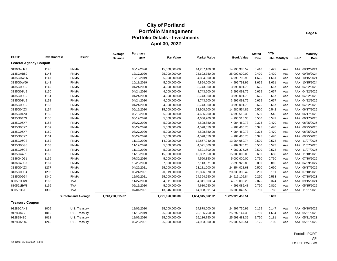|                              |             |                             | Average          | <b>Purchase</b> |                  |                     |                   | <b>Stated</b> | <b>YTM</b>  |     |     | <b>Maturity</b> |
|------------------------------|-------------|-----------------------------|------------------|-----------------|------------------|---------------------|-------------------|---------------|-------------|-----|-----|-----------------|
| <b>CUSIP</b>                 | Investment# | Issuer                      | <b>Balance</b>   | Date            | Par Value        | <b>Market Value</b> | <b>Book Value</b> | Rate          | 365 Moody's |     | S&P | Date            |
| <b>Federal Agency Coupon</b> |             |                             |                  |                 |                  |                     |                   |               |             |     |     |                 |
| 3136G4H22                    | 1145        | <b>FNMA</b>                 |                  | 08/12/2020      | 15,000,000.00    | 14,237,100.00       | 14,995,980.52     | 0.410         | 0.422       | Aaa |     | AA+ 08/12/2024  |
| 3135GAB59                    | 1146        | <b>FNMA</b>                 |                  | 12/17/2020      | 25,000,000.00    | 23,602,750.00       | 25,000,000.00     | 0.420         | 0.420       | Aaa |     | AA+ 09/30/2024  |
| 3135G0W66                    | 1147        | <b>FNMA</b>                 |                  | 10/18/2019      | 5,000,000.00     | 4,854,000.00        | 4,995,793.99      | 1.625         | 1.661       | Aaa |     | AA+ 10/15/2024  |
| 3135G0W66                    | 1148        | <b>FNMA</b>                 |                  | 10/18/2019      | 5,000,000.00     | 4,854,000.00        | 4,995,793.99      | 1.625         | 1.661       | Aaa |     | AA+ 10/15/2024  |
| 3135G03U5                    | 1149        | <b>FNMA</b>                 |                  | 04/24/2020      | 4,000,000.00     | 3,743,600.00        | 3,995,091.75      | 0.625         | 0.667       | Aaa |     | AA+ 04/22/2025  |
| 3135G03U5                    | 1150        | <b>FNMA</b>                 |                  | 04/24/2020      | 4,000,000.00     | 3,743,600.00        | 3,995,091.75      | 0.625         | 0.667       | Aaa |     | AA+ 04/22/2025  |
| 3135G03U5                    | 1151        | <b>FNMA</b>                 |                  | 04/24/2020      | 4,000,000.00     | 3,743,600.00        | 3,995,091.75      | 0.625         | 0.667       | Aaa |     | AA+ 04/22/2025  |
| 3135G03U5                    | 1152        | <b>FNMA</b>                 |                  | 04/24/2020      | 4,000,000.00     | 3,743,600.00        | 3,995,091.75      | 0.625         | 0.667       | Aaa |     | AA+ 04/22/2025  |
| 3135G03U5                    | 1153        | <b>FNMA</b>                 |                  | 04/24/2020      | 4,000,000.00     | 3,743,600.00        | 3,995,091.75      | 0.625         | 0.667       | Aaa |     | AA+ 04/22/2025  |
| 3135G04Z3                    | 1154        | <b>FNMA</b>                 |                  | 06/19/2020      | 15,000,000.00    | 13,908,600.00       | 14,980,554.89     | 0.500         | 0.542       | Aaa |     | AA+ 06/17/2025  |
| 3135G04Z3                    | 1155        | <b>FNMA</b>                 |                  | 06/19/2020      | 5,000,000.00     | 4,636,200.00        | 4,993,518.30      | 0.500         | 0.542       | Aaa |     | AA+ 06/17/2025  |
| 3135G04Z3                    | 1156        | <b>FNMA</b>                 |                  | 06/19/2020      | 5,000,000.00     | 4,636,200.00        | 4,993,518.30      | 0.500         | 0.542       | Aaa |     | AA+ 06/17/2025  |
| 3135G05X7                    | 1158        | <b>FNMA</b>                 |                  | 08/27/2020      | 5,000,000.00     | 4,598,850.00        | 4,984,460.73      | 0.375         | 0.470       | Aaa |     | AA+ 08/25/2025  |
| 3135G05X7                    | 1159        | <b>FNMA</b>                 |                  | 08/27/2020      | 5,000,000.00     | 4,598,850.00        | 4,984,460.73      | 0.375         | 0.470       | Aaa |     | AA+ 08/25/2025  |
| 3135G05X7                    | 1160        | <b>FNMA</b>                 |                  | 08/27/2020      | 5,000,000.00     | 4,598,850.00        | 4,984,460.73      | 0.375         | 0.470       | Aaa |     | AA+ 08/25/2025  |
| 3135G05X7                    | 1161        | <b>FNMA</b>                 |                  | 08/27/2020      | 5,000,000.00     | 4,598,850.00        | 4,984,460.73      | 0.375         | 0.470       | Aaa |     | AA+ 08/25/2025  |
| 3135G06G3                    | 1162        | <b>FNMA</b>                 |                  | 11/12/2020      | 14,000,000.00    | 12,857,040.00       | 13,964,650.74     | 0.500         | 0.573       | Aaa |     | AA+ 11/07/2025  |
| 3135G06G3                    | 1163        | <b>FNMA</b>                 |                  | 11/12/2020      | 5,000,000.00     | 4,591,800.00        | 4,987,375.26      | 0.500         | 0.573       | Aaa |     | AA+ 11/07/2025  |
| 3135G06G3                    | 1164        | <b>FNMA</b>                 |                  | 11/12/2020      | 5,000,000.00     | 4,591,800.00        | 4,987,375.26      | 0.500         | 0.573       | Aaa |     | AA+ 11/07/2025  |
| 3135GA4P3                    | 1165        | <b>FNMA</b>                 |                  | 11/18/2020      | 15,000,000.00    | 13,852,350.00       | 15,000,000.00     | 0.650         | 0.650       | Aaa |     | AA+ 11/18/2025  |
| 3136G4D91                    | 1166        | <b>FNMA</b>                 |                  | 07/30/2020      | 5,000,000.00     | 4,560,350.00        | 5,000,000.00      | 0.750         | 0.750       | Aaa |     | AA+ 07/30/2026  |
| 3136G45U3                    | 1167        | <b>FNMA</b>                 |                  | 10/29/2020      | 7,900,000.00     | 7,113,871.00        | 7,893,929.83      | 0.800         | 0.816       | Aaa |     | AA+ 04/29/2027  |
| 3135G04Z3                    | 1277        | <b>FNMA</b>                 |                  | 04/29/2021      | 25,000,000.00    | 23,181,000.00       | 24,854,028.63     | 0.500         | 0.690       | Aaa |     | AA+ 06/17/2025  |
| 3135G05G4                    | 1293        | <b>FNMA</b>                 |                  | 05/24/2021      | 20,319,000.00    | 19,826,670.63       | 20,333,338.42     | 0.250         | 0.191       | Aaa |     | AA+ 07/10/2023  |
| 3135G05G4                    | 1340        | <b>FNMA</b>                 |                  | 12/06/2021      | 25,000,000.00    | 24,394,250.00       | 24,916,105.84     | 0.250         | 0.533       | Aaa |     | AA+ 07/10/2023  |
| 880591ER9                    | 1168        | <b>TVA</b>                  |                  | 11/27/2020      | 4,311,000.00     | 4,311,603.54        | 4,570,030.28      | 2.875         | 0.324       | Aaa |     | AA+ 09/15/2024  |
| 880591EW8                    | 1169        | <b>TVA</b>                  |                  | 05/11/2020      | 5,000,000.00     | 4,680,050.00        | 4,991,085.48      | 0.750         | 0.810       | Aaa |     | AA+ 05/15/2025  |
| 880591CJ9                    | 1306        | <b>TVA</b>                  |                  | 07/01/2021      | 13,346,000.00    | 14,988,091.84       | 16,089,049.58     | 6.750         | 0.768       | Aaa |     | AA+ 11/01/2025  |
|                              |             | <b>Subtotal and Average</b> | 1,743,220,915.37 |                 | 1,721,650,000.00 | 1,654,945,062.92    | 1,725,920,458.51  |               | 0.609       |     |     |                 |
| <b>Treasury Coupon</b>       |             |                             |                  |                 |                  |                     |                   |               |             |     |     |                 |
| 91282CAN1                    | 1009        | U.S. Treasury               |                  | 12/09/2020      | 25,000,000.00    | 24,878,000.00       | 24,997,750.92     | 0.125         | 0.147       | Aaa |     | AA+ 09/30/2022  |
| 9128284S6                    | 1010        | U.S. Treasury               |                  | 11/18/2019      | 25,000,000.00    | 25,136,750.00       | 25,292,147.36     | 2.750         | 1.634       | Aaa |     | AA+ 05/31/2023  |
| 9128284S6                    | 1011        | U.S. Treasury               |                  | 12/07/2020      | 25,000,000.00    | 25,136,750.00       | 25,693,483.39     | 2.750         | 0.181       | Aaa |     | AA+ 05/31/2023  |
| 912828ZR4                    | 1245        | U.S. Treasury               |                  | 02/25/2021      | 25,000,000.00    | 24,993,000.00       | 25,000,509.51     | 0.125         | 0.100       | Aaa |     | AA+ 05/31/2022  |

Portfolio PORT AP Run Date: 05/05/2022 - 14:21 PM (PRF\_PM2) 7.3.0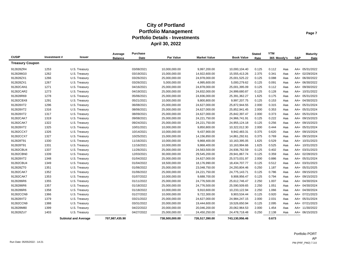|                        |             |                             | Average        | <b>Purchase</b> |                  |                     |                   | <b>Stated</b> | <b>YTM</b>  |     |     | <b>Maturity</b> |
|------------------------|-------------|-----------------------------|----------------|-----------------|------------------|---------------------|-------------------|---------------|-------------|-----|-----|-----------------|
| <b>CUSIP</b>           | Investment# | Issuer                      | <b>Balance</b> | Date            | <b>Par Value</b> | <b>Market Value</b> | <b>Book Value</b> | Rate          | 365 Moody's |     | S&P | Date            |
| <b>Treasury Coupon</b> |             |                             |                |                 |                  |                     |                   |               |             |     |     |                 |
| 912828ZR4              | 1253        | U.S. Treasury               |                | 03/08/2021      | 10,000,000.00    | 9,997,200.00        | 10,000,104.40     | 0.125         | 0.112       | Aaa |     | AA+ 05/31/2022  |
| 9128286G0              | 1262        | U.S. Treasury               |                | 03/19/2021      | 15,000,000.00    | 14,922,600.00       | 15,555,413.26     | 2.375         | 0.341       | Aaa |     | AA+ 02/29/2024  |
| 912828ZX1              | 1266        | U.S. Treasury               |                | 03/26/2021      | 25,000,000.00    | 24,978,000.00       | 25,001,525.22     | 0.125         | 0.088       | Aaa |     | AA+ 06/30/2022  |
| 912828ZX1              | 1267        | U.S. Treasury               |                | 03/26/2021      | 5,000,000.00     | 4,995,600.00        | 5,000,279.62      | 0.125         | 0.091       | Aaa |     | AA+ 06/30/2022  |
| 91282CAN1              | 1271        | U.S. Treasury               |                | 04/16/2021      | 25,000,000.00    | 24,878,000.00       | 25,001,395.09     | 0.125         | 0.112       | Aaa |     | AA+ 09/30/2022  |
| 91282CAR2              | 1273        | U.S. Treasury               |                | 04/19/2021      | 25,000,000.00    | 24,832,000.00       | 24,999,680.87     | 0.125         | 0.128       | Aaa |     | AA+ 10/31/2022  |
| 912828R69              | 1278        | U.S. Treasury               |                | 05/06/2021      | 25,000,000.00    | 24,836,000.00       | 25,391,362.27     | 1.625         | 0.175       | Aaa |     | AA+ 05/31/2023  |
| 91282CBX8              | 1291        | U.S. Treasury               |                | 05/21/2021      | 10,000,000.00    | 9,800,800.00        | 9,997,207.75      | 0.125         | 0.153       | Aaa |     | AA+ 04/30/2023  |
| 912828XT2              | 1296        | U.S. Treasury               |                | 06/08/2021      | 25,000,000.00    | 24,627,000.00       | 25,872,944.55     | 2.000         | 0.315       | Aaa |     | AA+ 05/31/2024  |
| 912828XT2              | 1316        | U.S. Treasury               |                | 08/06/2021      | 25,000,000.00    | 24,627,000.00       | 25,852,941.45     | 2.000         | 0.353       | Aaa |     | AA+ 05/31/2024  |
| 912828XT2              | 1317        | U.S. Treasury               |                | 08/09/2021      | 25,000,000.00    | 24,627,000.00       | 25,842,397.47     | 2.000         | 0.373       | Aaa |     | AA+ 05/31/2024  |
| 91282CAK7              | 1319        | U.S. Treasury               |                | 09/08/2021      | 25,000,000.00    | 24,221,750.00       | 24,966,741.91     | 0.125         | 0.222       | Aaa |     | AA+ 09/15/2023  |
| 91282CAK7              | 1322        | U.S. Treasury               |                | 09/24/2021      | 25,000,000.00    | 24,221,750.00       | 24,955,124.18     | 0.125         | 0.256       | Aaa |     | AA+ 09/15/2023  |
| 912828XT2              | 1325        | U.S. Treasury               |                | 10/01/2021      | 10,000,000.00    | 9,850,800.00        | 10,322,012.30     | 2.000         | 0.444       | Aaa |     | AA+ 05/31/2024  |
| 91282CCX7              | 1326        | U.S. Treasury               |                | 10/14/2021      | 10,000,000.00    | 9,437,900.00        | 9,942,483.31      | 0.375         | 0.620       | Aaa |     | AA+ 09/15/2024  |
| 91282CCX7              | 1327        | U.S. Treasury               |                | 10/25/2021      | 15,000,000.00    | 14,156,850.00       | 14,861,292.61     | 0.375         | 0.769       | Aaa |     | AA+ 09/15/2024  |
| 912828T91              | 1330        | U.S. Treasury               |                | 11/16/2021      | 10,000,000.00    | 9,868,400.00        | 10,163,395.05     | 1.625         | 0.529       | Aaa |     | AA+ 10/31/2023  |
| 912828T91              | 1331        | U.S. Treasury               |                | 11/16/2021      | 10,000,000.00    | 9,868,400.00        | 10,163,994.66     | 1.625         | 0.525       | Aaa |     | AA+ 10/31/2023  |
| 91282CBU4              | 1337        | U.S. Treasury               |                | 11/26/2021      | 25,000,000.00    | 24,563,500.00       | 24,936,762.59     | 0.125         | 0.402       | Aaa |     | AA+ 03/31/2023  |
| 91282CBN0              | 1339        | U.S. Treasury               |                | 12/03/2021      | 30,000,000.00    | 29,545,200.00       | 29,941,867.74     | 0.125         | 0.359       | Aaa |     | AA+ 02/28/2023  |
| 912828XT2              | 1348        | U.S. Treasury               |                | 01/04/2022      | 25,000,000.00    | 24,627,000.00       | 25,573,031.97     | 2.000         | 0.886       | Aaa |     | AA+ 05/31/2024  |
| 91282CBU4              | 1349        | U.S. Treasury               |                | 01/04/2022      | 18,500,000.00    | 18,176,990.00       | 18,434,707.77     | 0.125         | 0.512       | Aaa |     | AA+ 03/31/2023  |
| 912828ZT0              | 1351        | U.S. Treasury               |                | 01/06/2022      | 25,000,000.00    | 23,048,750.00       | 24,293,804.46     | 0.250         | 1.187       | Aaa |     | AA+ 05/31/2025  |
| 91282CAK7              | 1352        | U.S. Treasury               |                | 01/06/2022      | 25,000,000.00    | 24,221,750.00       | 24,775,143.71     | 0.125         | 0.786       | Aaa |     | AA+ 09/15/2023  |
| 91282CAK7              | 1353        | U.S. Treasury               |                | 01/07/2022      | 10,000,000.00    | 9,688,700.00        | 9,908,956.47      | 0.125         | 0.794       | Aaa |     | AA+ 09/15/2023  |
| 9128286R6              | 1355        | U.S. Treasury               |                | 01/11/2022      | 25,000,000.00    | 24,776,500.00       | 25,612,746.47     | 2.250         | 1.007       | Aaa |     | AA+ 04/30/2024  |
| 9128286R6              | 1357        | U.S. Treasury               |                | 01/18/2022      | 25,000,000.00    | 24,776,500.00       | 25,590,509.65     | 2.250         | 1.051       | Aaa |     | AA+ 04/30/2024  |
| 9128286R6              | 1358        | U.S. Treasury               |                | 01/18/2022      | 10,000,000.00    | 9,910,600.00        | 10,233,122.94     | 2.250         | 1.066       | Aaa |     | AA+ 04/30/2024  |
| 91282CCN9              | 1366        | U.S. Treasury               |                | 01/27/2022      | 10,000,000.00    | 9,722,300.00        | 9,903,534.44      | 0.125         | 0.920       | Aaa |     | AA+ 07/21/2023  |
| 912828XT2              | 1379        | U.S. Treasury               |                | 03/21/2022      | 25,000,000.00    | 24,627,000.00       | 24,984,247.15     | 2.000         | 2.031       | Aaa |     | AA+ 05/31/2024  |
| 91282CCN9              | 1388        | U.S. Treasury               |                | 03/31/2022      | 20,000,000.00    | 19,444,600.00       | 19,526,650.94     | 0.125         | 2.095       | Aaa |     | AA+ 07/21/2023  |
| 912828M80              | 1399        | U.S. Treasury               |                | 04/22/2022      | 20,000,000.00    | 20,046,200.00       | 20,062,964.53     | 2.000         | 1.454       | Aaa |     | AA+ 11/30/2022  |
| 912828ZU7              | 1403        | U.S. Treasury               |                | 04/27/2022      | 25,000,000.00    | 24,450,250.00       | 24,478,718.48     | 0.250         | 2.138       | Aaa |     | AA+ 06/15/2023  |
|                        |             | <b>Subtotal and Average</b> | 707,987,435.90 |                 | 738,500,000.00   | 726,517,390.00      | 743,130,956.46    |               | 0.673       |     |     |                 |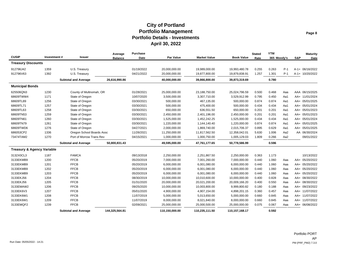| <b>CUSIP</b>                          | Investment# | <b>Issuer</b>               | Average<br><b>Balance</b> | Purchase<br>Date | <b>Par Value</b> | <b>Market Value</b> | <b>Book Value</b> | <b>Stated</b><br>Rate | <b>YTM</b><br>365 Moody's |       | S&P | <b>Maturity</b><br>Date |
|---------------------------------------|-------------|-----------------------------|---------------------------|------------------|------------------|---------------------|-------------------|-----------------------|---------------------------|-------|-----|-------------------------|
| <b>Treasury Discounts</b>             |             |                             |                           |                  |                  |                     |                   |                       |                           |       |     |                         |
| 912796J42                             | 1359        | U.S. Treasury               |                           | 01/19/2022       | 20,000,000.00    | 19,989,000.00       | 19,993,480.78     | 0.255                 | 0.263                     | $P-1$ |     | A-1+ 06/16/2022         |
| 912796V63                             | 1392        | U.S. Treasury               |                           | 04/21/2022       | 20,000,000.00    | 19,877,800.00       | 19,879,838.91     | 1.257                 | 1.301                     | $P-1$ |     | A-1+ 10/20/2022         |
|                                       |             | <b>Subtotal and Average</b> | 26,616,990.86             |                  | 40,000,000.00    | 39,866,800.00       | 39,873,319.69     |                       | 0.780                     |       |     |                         |
| <b>Municipal Bonds</b>                |             |                             |                           |                  |                  |                     |                   |                       |                           |       |     |                         |
| 625506QN3                             | 1230        | County of Multnomah, OR     |                           | 01/28/2021       | 25,000,000.00    | 23,188,750.00       | 25,024,796.59     | 0.500                 | 0.468                     | Aaa   |     | AAA 06/15/2025          |
| 68609TWW4                             | 1171        | State of Oregon             |                           | 10/07/2020       | 3,500,000.00     | 3,307,710.00        | 3,529,912.99      | 0.795                 | 0.450                     | Aa1   |     | AA+ 11/01/2024          |
| 68609TL89                             | 1256        | State of Oregon             |                           | 03/30/2021       | 500,000.00       | 467,135.00          | 500,000.00        | 0.874                 | 0.874                     | Aa1   |     | AA+ 05/01/2025          |
| 68609TL71                             | 1257        | State of Oregon             |                           | 03/30/2021       | 500,000.00       | 475,400.00          | 500,000.00        | 0.434                 | 0.434                     | Aa1   |     | AA+ 05/01/2024          |
| 68609TL63                             | 1258        | State of Oregon             |                           | 03/30/2021       | 650,000.00       | 636,551.50          | 650,000.00        | 0.201                 | 0.201                     | Aa1   |     | AA+ 05/01/2023          |
| 68609TN53                             | 1259        | State of Oregon             |                           | 03/30/2021       | 2,450,000.00     | 2,401,196.00        | 2,450,000.00      | 0.201                 | 0.201                     | Aa1   |     | AA+ 05/01/2023          |
| 68609TN61                             | 1260        | State of Oregon             |                           | 03/30/2021       | 1,525,000.00     | 1,452,242.25        | 1,525,000.00      | 0.434                 | 0.434                     | Aa1   |     | AA+ 05/01/2024          |
| 68609TN79                             | 1261        | State of Oregon             |                           | 03/30/2021       | 1,220,000.00     | 1,144,140.40        | 1,220,000.00      | 0.874                 | 0.874                     | Aa1   |     | AA+ 05/01/2025          |
| 68609TWD6                             | 1276        | State of Oregon             |                           | 04/27/2021       | 2,000,000.00     | 1,869,740.00        | 2,015,706.37      | 0.895                 | 0.629                     | Aa1   |     | AA+ 05/01/2025          |
| 686053CP2                             | 1336        | Oregon School Boards Assc   |                           | 11/26/2021       | 11,250,000.00    | 11,817,562.50       | 12,358,042.01     | 5.630                 | 1.006                     | Aa2   |     | AA 06/30/2024           |
| 73474TAM2                             | 1270        | Port of Morrow Trans Rev    |                           | 04/15/2021       | 1,000,000.00     | 1,000,750.00        | 1,005,129.03      | 1.809                 | 0.266                     | Aa2   |     | 09/01/2022              |
|                                       |             | <b>Subtotal and Average</b> | 50,800,831.43             |                  | 49.595.000.00    | 47,761,177.65       | 50,778,586.99     |                       | 0.596                     |       |     |                         |
| <b>Treasury &amp; Agency Variable</b> |             |                             |                           |                  |                  |                     |                   |                       |                           |       |     |                         |
| 3132X0CL3                             | 1187        | <b>FAMCA</b>                |                           | 09/13/2018       | 2,250,000.00     | 2,251,867.50        | 2,250,000.00      | 0.363                 | 1.173                     |       |     | 10/13/2022              |
| 3133EKMB9                             | 1200        | <b>FFCB</b>                 |                           | 05/20/2019       | 7,000,000.00     | 7,001,260.00        | 7,000,000.00      | 0.440                 | 1.060                     | Aaa   |     | AA+ 05/20/2022          |
| 3133EKMB9                             | 1201        | <b>FFCB</b>                 |                           | 05/20/2019       | 6,000,000.00     | 6,001,080.00        | 6,000,000.00      | 0.440                 | 1.060                     | Aaa   |     | AA+ 05/20/2022          |
| 3133EKMB9                             | 1202        | <b>FFCB</b>                 |                           | 05/20/2019       | 6,000,000.00     | 6,001,080.00        | 6,000,000.00      | 0.440                 | 1.060                     | Aaa   |     | AA+ 05/20/2022          |
| 3133EKMB9                             | 1203        | <b>FFCB</b>                 |                           | 05/20/2019       | 6,000,000.00     | 6,001,080.00        | 6,000,000.00      | 0.440                 | 1.060                     | Aaa   |     | AA+ 05/20/2022          |
| 3133EKJ56                             | 1204        | <b>FFCB</b>                 |                           | 08/30/2019       | 10,000,000.00    | 10,010,600.00       | 10,000,000.00     | 0.400                 | 0.828                     | Aaa   |     | AA+ 08/30/2022          |
| 3133EKJ56                             | 1205        | <b>FFCB</b>                 |                           | 01/31/2020       | 20,000,000.00    | 20,021,200.00       | 20,009,166.20     | 0.400                 | 0.550                     | Aaa   |     | AA+ 08/30/2022          |
| 3133EMAW2                             | 1206        | <b>FFCB</b>                 |                           | 09/25/2020       | 10,000,000.00    | 10,003,800.00       | 9,999,800.82      | 0.180                 | 0.188                     | Aaa   |     | AA+ 09/23/2022          |
| 3133EK6V3                             | 1207        | <b>FFCB</b>                 |                           | 05/01/2020       | 4,900,000.00     | 4,907,154.00        | 4,898,201.15      | 0.360                 | 0.457                     | Aaa   |     | AA+ 11/07/2022          |
| 3133EK6W1                             | 1208        | <b>FFCB</b>                 |                           | 11/07/2019       | 5,000,000.00     | 5,013,650.00        | 5,000,000.00      | 0.660                 | 0.845                     | Aaa   |     | AA+ 11/07/2022          |
| 3133EK6W1                             | 1209        | <b>FFCB</b>                 |                           | 11/07/2019       | 8,000,000.00     | 8,021,840.00        | 8,000,000.00      | 0.660                 | 0.845                     | Aaa   |     | AA+ 11/07/2022          |
| 3133EMQF2                             | 1239        | <b>FFCB</b>                 |                           | 02/09/2021       | 25,000,000.00    | 25,000,500.00       | 25,000,000.00     | 0.075                 | 0.067                     | Aaa   |     | AA+ 06/08/2022          |
|                                       |             | <b>Subtotal and Average</b> | 144,325,564.81            |                  | 110.150.000.00   | 110.235.111.50      | 110.157.168.17    |                       | 0.592                     |       |     |                         |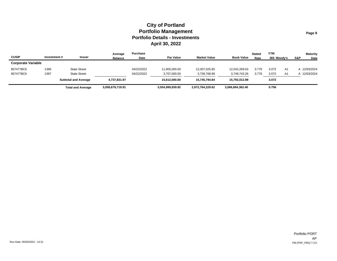|                           |             |                             | Average          | Purchase   |                  |                     |                   | <b>Stated</b> | <b>YTM</b>  |    |     | <b>Maturity</b> |
|---------------------------|-------------|-----------------------------|------------------|------------|------------------|---------------------|-------------------|---------------|-------------|----|-----|-----------------|
| <b>CUSIP</b>              | Investment# | Issuer                      | <b>Balance</b>   | Date       | <b>Par Value</b> | <b>Market Value</b> | <b>Book Value</b> | Rate          | 365 Moodv's |    | S&P | Date            |
| <b>Corporate Variable</b> |             |                             |                  |            |                  |                     |                   |               |             |    |     |                 |
| 857477BC6                 | 1396        | <b>State Street</b>         |                  | 04/22/2022 | 11,905,000.00    | 12,007,025.85       | 12.042.269.63     | 3.776         | 3.072       | A1 |     | A 12/03/2024    |
| 857477BC6                 | 1397        | <b>State Street</b>         |                  | 04/22/2022 | 3,707,000.00     | 3,738,768.99        | 3,749,743.26      | 3.776         | 3.072       | Α1 |     | A 12/03/2024    |
|                           |             | <b>Subtotal and Average</b> | 4.737.831.97     |            | 15.612.000.00    | 15.745.794.84       | 15.792.012.89     |               | 3.072       |    |     |                 |
|                           |             | <b>Total and Average</b>    | 3,058,679,719.91 |            | 3,054,999,939.92 | 2,972,764,229.62    | 3,066,884,362.40  |               | 0.756       |    |     |                 |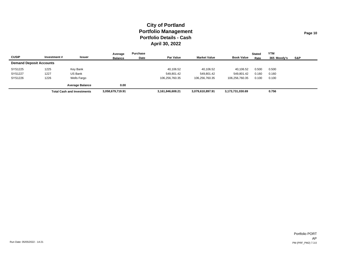|                                |             |                                   | Average          | Purchase |                  |                     |                   | <b>Stated</b> | <b>YTM</b>  |     |
|--------------------------------|-------------|-----------------------------------|------------------|----------|------------------|---------------------|-------------------|---------------|-------------|-----|
| <b>CUSIP</b>                   | Investment# | Issuer                            | <b>Balance</b>   | Date     | <b>Par Value</b> | <b>Market Value</b> | <b>Book Value</b> | Rate          | 365 Moodv's | S&P |
| <b>Demand Deposit Accounts</b> |             |                                   |                  |          |                  |                     |                   |               |             |     |
| SYS1225                        | 1225        | Key Bank                          |                  |          | 40,106.52        | 40,106.52           | 40,106.52         | 0.500         | 0.500       |     |
| SYS1227                        | 1227        | <b>US Bank</b>                    |                  |          | 549,801.42       | 549,801.42          | 549,801.42        | 0.160         | 0.160       |     |
| SYS1226                        | 1226        | Wells Fargo                       |                  |          | 106.256.760.35   | 106,256,760.35      | 106,256,760.35    | 0.100         | 0.100       |     |
|                                |             | <b>Average Balance</b>            | 0.00             |          |                  |                     |                   |               |             |     |
|                                |             | <b>Total Cash and Investments</b> | 3,058,679,719.91 |          | 3,161,846,608.21 | 3,079,610,897.91    | 3,173,731,030.69  |               | 0.756       |     |